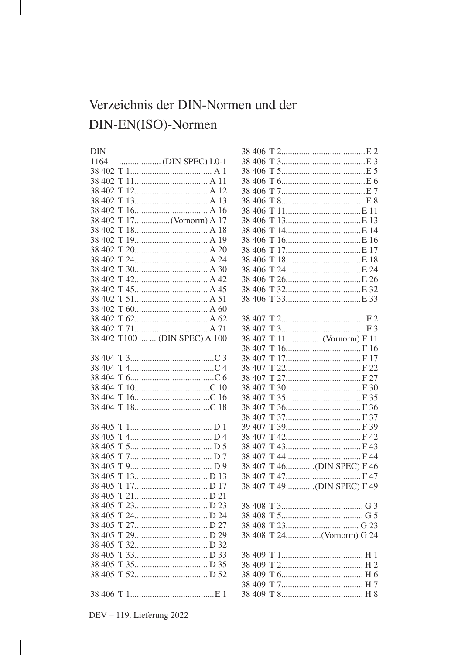## Verzeichnis der DIN-Normen und der DIN-EN(ISO)-Normen

## $DIN$

| 1164   |                         |
|--------|-------------------------|
| 38 402 |                         |
| 38 402 | T                       |
| 38 402 | Τ                       |
| 38 402 | T                       |
| 38 402 | T                       |
| 38 402 | 17(Vornorm) A 17<br>T   |
| 38 402 | T                       |
| 38 402 | Τ                       |
| 38 402 | T                       |
| 38 402 |                         |
| 38 402 |                         |
| 38 402 |                         |
| 38 402 |                         |
| 38 402 |                         |
| 38 402 |                         |
| 38 402 |                         |
| 38 402 |                         |
| 38 402 | T100   (DIN SPEC) A 100 |
|        |                         |
|        |                         |
|        |                         |
|        |                         |
| 38 404 |                         |
| 38 404 |                         |
| 38 404 | T                       |
| 38 405 |                         |
| 38 405 |                         |
| 38 405 |                         |
| 38 405 | Τ                       |
| 38 405 | Τ                       |
| 38 405 | Τ                       |
| 38 405 | T                       |
| 38 405 | Τ                       |
| 38 405 |                         |
| 38 405 |                         |
| 38 405 | Τ                       |
| 38 405 | T                       |
| 38 405 | Τ                       |
| 38 405 | Τ                       |
| 38 405 |                         |
| 38 405 |                         |
|        |                         |
|        |                         |

| 38 406           |                        |  |
|------------------|------------------------|--|
| 38 406           |                        |  |
| 38 406           |                        |  |
| 38 406           | T                      |  |
| 38 406           |                        |  |
| 38 406           | T                      |  |
| 38 406           | T                      |  |
| 38 406           | T                      |  |
| 38 406           | Т                      |  |
| 38 406           | T                      |  |
| 38 406           | Т                      |  |
| 38 406           | T                      |  |
| 38 406           | T                      |  |
| 38 406           | T                      |  |
| 38 406           | 32E 32<br>T            |  |
| 38 406           |                        |  |
|                  |                        |  |
| 38 407           |                        |  |
| 38 407           |                        |  |
| 38 407           | 11 (Vornorm) F 11<br>T |  |
| 38 407           | T                      |  |
| 38 407           | T                      |  |
| 38 407           | Τ                      |  |
| 38 407           | Τ                      |  |
| 38 407           | Τ                      |  |
| 38 407           | Τ                      |  |
| 38 407           |                        |  |
| 38 407           | Τ                      |  |
| 39 407           |                        |  |
| 38 407           |                        |  |
| 38 407           |                        |  |
| 38 407           |                        |  |
| 38 407           | T 46(DIN SPEC) F 46    |  |
| 38 407           |                        |  |
| 38 407           | T 49 (DIN SPEC) F 49   |  |
|                  |                        |  |
|                  |                        |  |
| 38 408<br>38 408 |                        |  |
|                  |                        |  |
| 38 408           |                        |  |
| 38 408           | T 24(Vornorm) G 24     |  |
| 38 409           | T                      |  |
| 38 409           |                        |  |
| 38 409           |                        |  |
| 38 409           |                        |  |
|                  |                        |  |
| 38 409           |                        |  |

DEV - 119. Lieferung 2022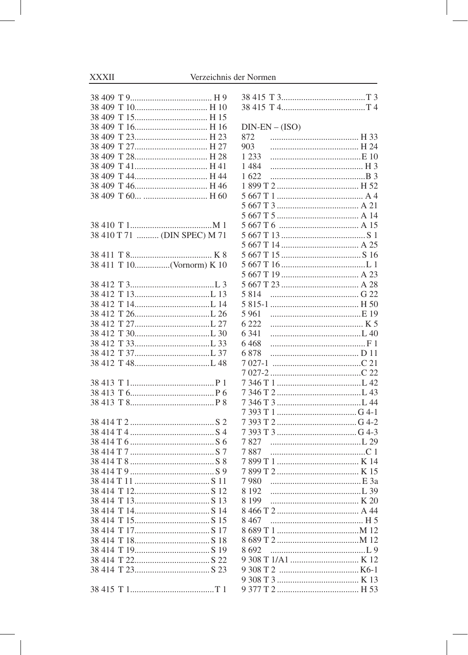## Verzeichnis der Normen

| 38 409<br>T                  |
|------------------------------|
| 38 409<br>T 15 H 15          |
| 38 409                       |
| 38 409                       |
| T 27 H 27<br>38 409          |
| 38 409                       |
| 38 409                       |
| 38 409                       |
| 38 409                       |
| T 60  H 60<br>38 409         |
|                              |
|                              |
|                              |
| 38 410 T 71  (DIN SPEC) M 71 |
| 38 411                       |
| T 10(Vornorm) K 10<br>38 411 |
|                              |
| 38 412                       |
| 38 412                       |
| T 14L 14<br>38 412           |
| T 26L 26<br>38 412           |
| T 27L 27<br>38 412           |
| 38 412                       |
| 38 412                       |
| T 37L 37<br>38 412           |
| T 48L 48<br>38 412           |
|                              |
|                              |
|                              |
|                              |
|                              |
|                              |
|                              |
|                              |
|                              |
|                              |
|                              |
| 38 414 T                     |
|                              |
| T<br>14                      |
| 38 414<br>38414<br>T         |
| 15<br>38414<br>T             |
| 17                           |
| 38 414<br>T                  |
| 38 414<br>T<br>19            |
| 38 414 T                     |
|                              |
| 1                            |

| $DIN-EN - (ISO)$ |
|------------------|
| 872              |
| 903              |
| 1 2 3 3          |
| 1484             |
| 1622             |
|                  |
|                  |
|                  |
|                  |
|                  |
| 5 667 T          |
| 5 667 T          |
| 5 667 T          |
| 5 667 T          |
| 5 667 T          |
|                  |
| 5 8 1 4          |
|                  |
| 5 9 6 1          |
| 6 2 2 2          |
| 6 3 4 1          |
| 6468             |
| 6878             |
| 21               |
| 7 027-1          |
|                  |
| 7 346 T          |
|                  |
|                  |
|                  |
|                  |
|                  |
| 7827             |
| 7887             |
|                  |
|                  |
| 7980             |
| 8 1 9 2          |
| 8 1 9 9          |
| 8 466 T          |
| 8 4 6 7          |
|                  |
|                  |
| 8692             |
| 9 308 T          |
|                  |
| 9 377 T<br>53    |
|                  |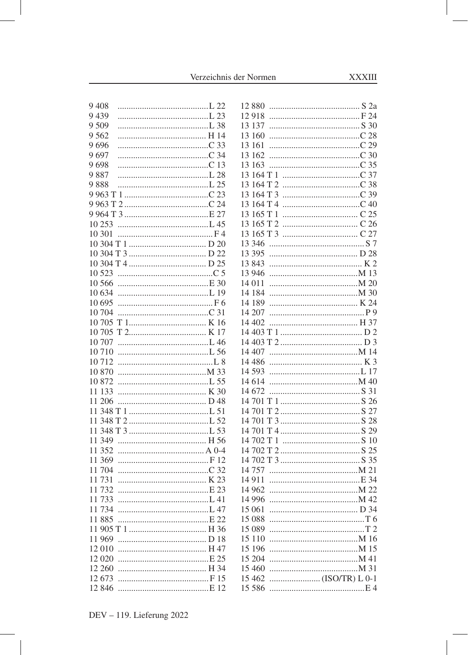Verzeichnis der Normen

ı

| 9 4 0 8 |                               |                                    |
|---------|-------------------------------|------------------------------------|
| 9439    |                               |                                    |
| 9 5 0 9 |                               |                                    |
| 9 5 6 2 |                               | 13 160                             |
| 9696    |                               |                                    |
| 9697    |                               | 13 162                             |
| 9698    |                               |                                    |
| 9887    |                               |                                    |
| 9888    |                               |                                    |
|         |                               |                                    |
|         |                               |                                    |
|         |                               |                                    |
|         |                               |                                    |
| 10 301  |                               |                                    |
|         |                               | 13 346                             |
|         |                               | 13 3 95                            |
|         |                               |                                    |
|         |                               |                                    |
|         |                               |                                    |
| 10 634  |                               |                                    |
| 10 695  |                               | 14 189                             |
| 10 704  |                               | 14 207<br>P9                       |
|         |                               | 14 402                             |
|         |                               |                                    |
|         |                               |                                    |
| 10 7 10 |                               |                                    |
| 10 7 12 |                               | 14 4 8 6                           |
| 10 870  |                               | 14 593                             |
| 10872   | 1.55                          | 14 614                             |
| 11 133  |                               |                                    |
| 11 206  |                               |                                    |
|         |                               |                                    |
|         | $11\,348\,T\,2\ldots$ $152\,$ |                                    |
|         |                               |                                    |
|         |                               |                                    |
| 11 352  |                               |                                    |
| 11 369  |                               |                                    |
| 11 704  |                               |                                    |
| 11731   |                               | 14 9 11                            |
| 11 732  | $E_{23}$                      |                                    |
| 11 733  |                               |                                    |
| 11 734  |                               |                                    |
|         |                               | 15 088                             |
|         |                               | 15 089                             |
| 11 969  |                               | 15 110                             |
| 12 010  |                               | 15 196                             |
| 12 0 20 |                               | 15 204                             |
| 12 260  |                               | 15 460                             |
| 12673   |                               | 15 4 62<br>$\ldots$ (ISO/TR) L 0-1 |
|         |                               | 15 5 8 6                           |
|         |                               |                                    |

 $\overline{\phantom{a}}$